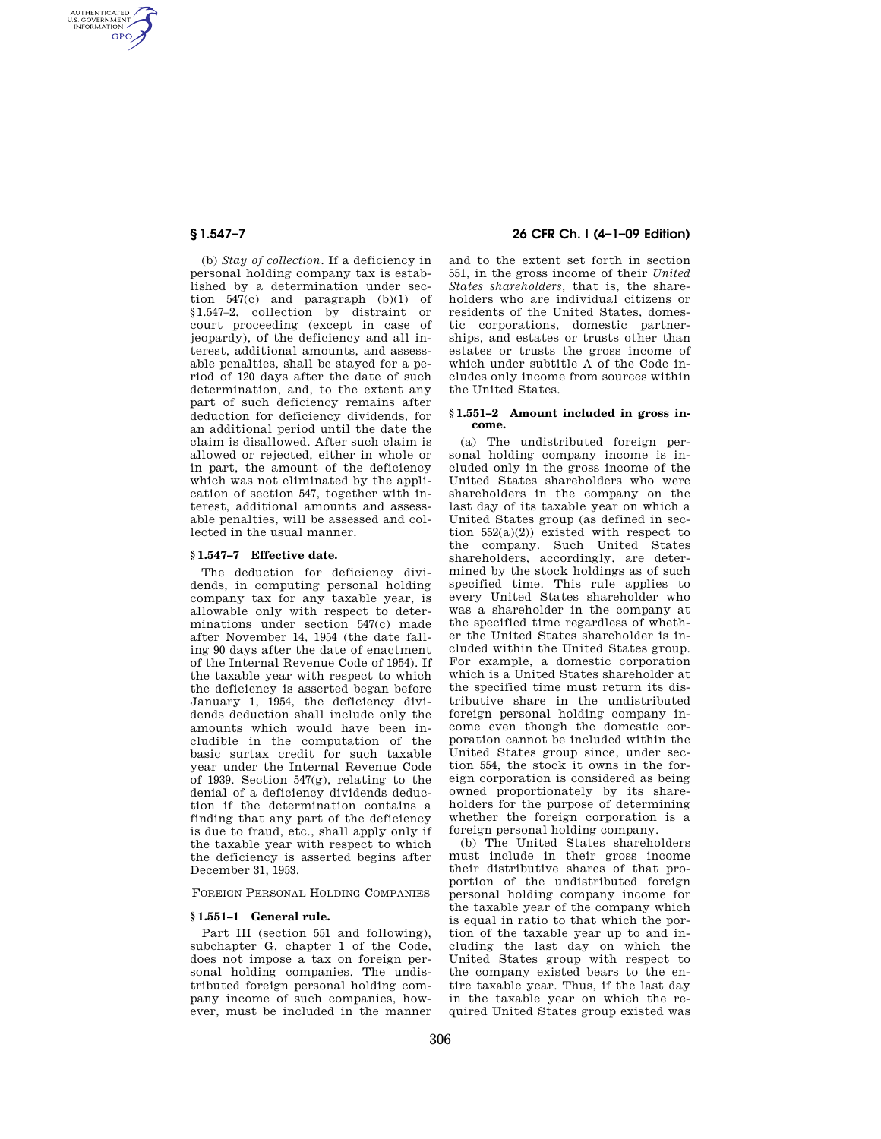AUTHENTICATED<br>U.S. GOVERNMENT<br>INFORMATION **GPO** 

> (b) *Stay of collection.* If a deficiency in personal holding company tax is established by a determination under section 547(c) and paragraph (b)(1) of §1.547–2, collection by distraint or court proceeding (except in case of jeopardy), of the deficiency and all interest, additional amounts, and assessable penalties, shall be stayed for a period of 120 days after the date of such determination, and, to the extent any part of such deficiency remains after deduction for deficiency dividends, for an additional period until the date the claim is disallowed. After such claim is allowed or rejected, either in whole or in part, the amount of the deficiency which was not eliminated by the application of section 547, together with interest, additional amounts and assessable penalties, will be assessed and collected in the usual manner.

## **§ 1.547–7 Effective date.**

The deduction for deficiency dividends, in computing personal holding company tax for any taxable year, is allowable only with respect to determinations under section 547(c) made after November 14, 1954 (the date falling 90 days after the date of enactment of the Internal Revenue Code of 1954). If the taxable year with respect to which the deficiency is asserted began before January 1, 1954, the deficiency dividends deduction shall include only the amounts which would have been includible in the computation of the basic surtax credit for such taxable year under the Internal Revenue Code of 1939. Section 547(g), relating to the denial of a deficiency dividends deduction if the determination contains a finding that any part of the deficiency is due to fraud, etc., shall apply only if the taxable year with respect to which the deficiency is asserted begins after December 31, 1953.

FOREIGN PERSONAL HOLDING COMPANIES

## **§ 1.551–1 General rule.**

Part III (section 551 and following), subchapter G, chapter 1 of the Code, does not impose a tax on foreign personal holding companies. The undistributed foreign personal holding company income of such companies, however, must be included in the manner

# **§ 1.547–7 26 CFR Ch. I (4–1–09 Edition)**

and to the extent set forth in section 551, in the gross income of their *United States shareholders,* that is, the shareholders who are individual citizens or residents of the United States, domestic corporations, domestic partnerships, and estates or trusts other than estates or trusts the gross income of which under subtitle A of the Code includes only income from sources within the United States.

## **§ 1.551–2 Amount included in gross income.**

(a) The undistributed foreign personal holding company income is included only in the gross income of the United States shareholders who were shareholders in the company on the last day of its taxable year on which a United States group (as defined in section  $552(a)(2)$  existed with respect to the company. Such United States shareholders, accordingly, are determined by the stock holdings as of such specified time. This rule applies to every United States shareholder who was a shareholder in the company at the specified time regardless of whether the United States shareholder is included within the United States group. For example, a domestic corporation which is a United States shareholder at the specified time must return its distributive share in the undistributed foreign personal holding company income even though the domestic corporation cannot be included within the United States group since, under section 554, the stock it owns in the foreign corporation is considered as being owned proportionately by its shareholders for the purpose of determining whether the foreign corporation is a foreign personal holding company.

(b) The United States shareholders must include in their gross income their distributive shares of that proportion of the undistributed foreign personal holding company income for the taxable year of the company which is equal in ratio to that which the portion of the taxable year up to and including the last day on which the United States group with respect to the company existed bears to the entire taxable year. Thus, if the last day in the taxable year on which the required United States group existed was